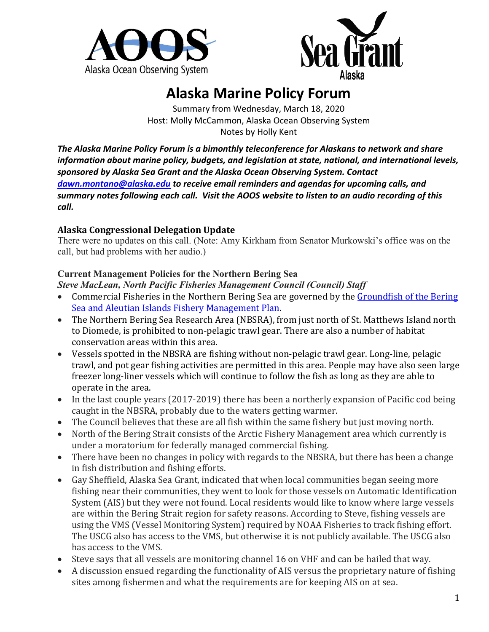



## **Alaska Marine Policy Forum**

Summary from Wednesday, March 18, 2020 Host: Molly McCammon, Alaska Ocean Observing System Notes by Holly Kent

*The Alaska Marine Policy Forum is a bimonthly teleconference for Alaskans to network and share information about marine policy, budgets, and legislation at state, national, and international levels, sponsored by Alaska Sea Grant and the Alaska Ocean Observing System. Contact [dawn.montano@alaska.edu](mailto:dawn.montano@alaska.edu) to receive email reminders and agendas for upcoming calls, and summary notes following each call. Visit the AOOS website to listen to an audio recording of this call.*

## **Alaska Congressional Delegation Update**

There were no updates on this call. (Note: Amy Kirkham from Senator Murkowski's office was on the call, but had problems with her audio.)

## **Current Management Policies for the Northern Bering Sea**

*Steve MacLean, North Pacific Fisheries Management Council (Council) Staff*

- Commercial Fisheries in the Northern Bering Sea are governed by the Groundfish of the Bering [Sea and Aleutian Islands Fishery Management Plan.](https://www.npfmc.org/wp-content/PDFdocuments/fmp/BSAI/BSAIfmp.pdf)
- The Northern Bering Sea Research Area (NBSRA), from just north of St. Matthews Island north to Diomede, is prohibited to non-pelagic trawl gear. There are also a number of habitat conservation areas within this area.
- Vessels spotted in the NBSRA are fishing without non-pelagic trawl gear. Long-line, pelagic trawl, and pot gear fishing activities are permitted in this area. People may have also seen large freezer long-liner vessels which will continue to follow the fish as long as they are able to operate in the area.
- In the last couple years (2017-2019) there has been a northerly expansion of Pacific cod being caught in the NBSRA, probably due to the waters getting warmer.
- The Council believes that these are all fish within the same fishery but just moving north.
- North of the Bering Strait consists of the Arctic Fishery Management area which currently is under a moratorium for federally managed commercial fishing.
- There have been no changes in policy with regards to the NBSRA, but there has been a change in fish distribution and fishing efforts.
- Gay Sheffield, Alaska Sea Grant, indicated that when local communities began seeing more fishing near their communities, they went to look for those vessels on Automatic Identification System (AIS) but they were not found. Local residents would like to know where large vessels are within the Bering Strait region for safety reasons. According to Steve, fishing vessels are using the VMS (Vessel Monitoring System) required by NOAA Fisheries to track fishing effort. The USCG also has access to the VMS, but otherwise it is not publicly available. The USCG also has access to the VMS.
- Steve says that all vessels are monitoring channel 16 on VHF and can be hailed that way.
- A discussion ensued regarding the functionality of AIS versus the proprietary nature of fishing sites among fishermen and what the requirements are for keeping AIS on at sea.